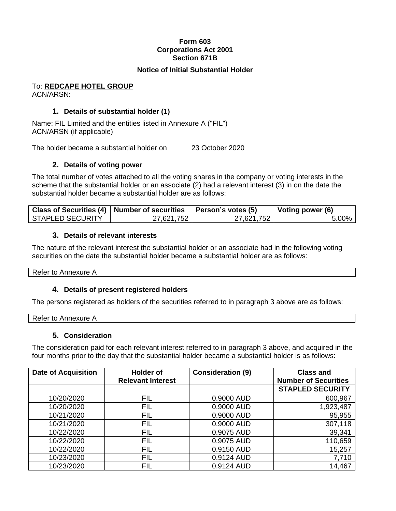# **Form 603 Corporations Act 2001 Section 671B**

# **Notice of Initial Substantial Holder**

#### To: **REDCAPE HOTEL GROUP** ACN/ARSN:

# **1. Details of substantial holder (1)**

Name: FIL Limited and the entities listed in Annexure A ("FIL") ACN/ARSN (if applicable)

The holder became a substantial holder on 23 October 2020

### **2. Details of voting power**

The total number of votes attached to all the voting shares in the company or voting interests in the scheme that the substantial holder or an associate (2) had a relevant interest (3) in on the date the substantial holder became a substantial holder are as follows:

|                         | Class of Securities (4)   Number of securities   Person's votes (5) |            | Voting power (6) |
|-------------------------|---------------------------------------------------------------------|------------|------------------|
| <b>STAPLED SECURITY</b> | 27,621,752                                                          | 27,621,752 | 5.00%            |

#### **3. Details of relevant interests**

The nature of the relevant interest the substantial holder or an associate had in the following voting securities on the date the substantial holder became a substantial holder are as follows:

Refer to Annexure A

# **4. Details of present registered holders**

The persons registered as holders of the securities referred to in paragraph 3 above are as follows:

| Refer to<br>.<br>$\sim$ order to $\sim$ |  |  |
|-----------------------------------------|--|--|
|                                         |  |  |

#### **5. Consideration**

The consideration paid for each relevant interest referred to in paragraph 3 above, and acquired in the four months prior to the day that the substantial holder became a substantial holder is as follows:

| <b>Date of Acquisition</b> | <b>Holder of</b>         | <b>Consideration (9)</b> | <b>Class and</b>            |
|----------------------------|--------------------------|--------------------------|-----------------------------|
|                            | <b>Relevant Interest</b> |                          | <b>Number of Securities</b> |
|                            |                          |                          | <b>STAPLED SECURITY</b>     |
| 10/20/2020                 | <b>FIL</b>               | 0.9000 AUD               | 600,967                     |
| 10/20/2020                 | <b>FIL</b>               | 0.9000 AUD               | 1,923,487                   |
| 10/21/2020                 | <b>FIL</b>               | 0.9000 AUD               | 95,955                      |
| 10/21/2020                 | <b>FIL</b>               | 0.9000 AUD               | 307,118                     |
| 10/22/2020                 | <b>FIL</b>               | 0.9075 AUD               | 39,341                      |
| 10/22/2020                 | <b>FIL</b>               | 0.9075 AUD               | 110,659                     |
| 10/22/2020                 | <b>FIL</b>               | 0.9150 AUD               | 15,257                      |
| 10/23/2020                 | <b>FIL</b>               | 0.9124 AUD               | 7,710                       |
| 10/23/2020                 | <b>FIL</b>               | 0.9124 AUD               | 14,467                      |